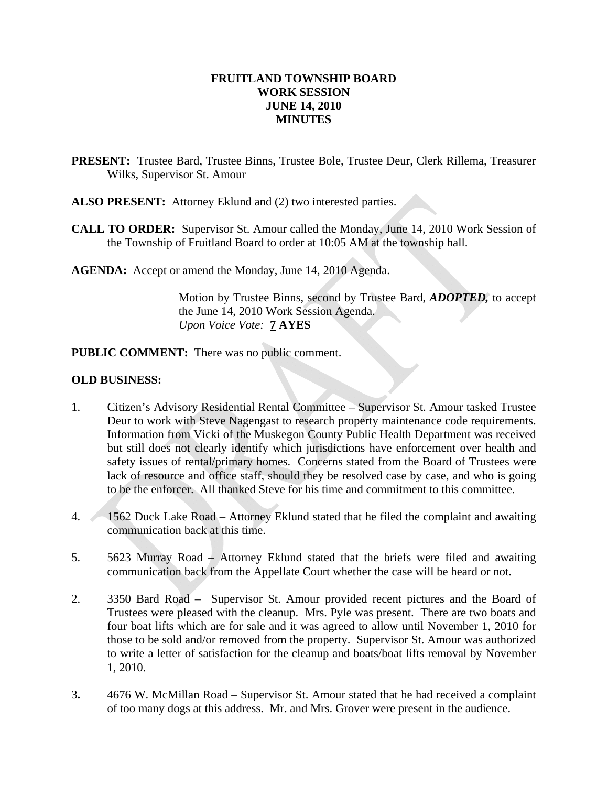#### **FRUITLAND TOWNSHIP BOARD WORK SESSION JUNE 14, 2010 MINUTES**

- **PRESENT:** Trustee Bard, Trustee Binns, Trustee Bole, Trustee Deur, Clerk Rillema, Treasurer Wilks, Supervisor St. Amour
- **ALSO PRESENT:** Attorney Eklund and (2) two interested parties.
- **CALL TO ORDER:** Supervisor St. Amour called the Monday, June 14, 2010 Work Session of the Township of Fruitland Board to order at 10:05 AM at the township hall.

**AGENDA:** Accept or amend the Monday, June 14, 2010 Agenda.

Motion by Trustee Binns, second by Trustee Bard, *ADOPTED,* to accept the June 14, 2010 Work Session Agenda.  *Upon Voice Vote:* **7 AYES** 

**PUBLIC COMMENT:** There was no public comment.

#### **OLD BUSINESS:**

- 1. Citizen's Advisory Residential Rental Committee Supervisor St. Amour tasked Trustee Deur to work with Steve Nagengast to research property maintenance code requirements. Information from Vicki of the Muskegon County Public Health Department was received but still does not clearly identify which jurisdictions have enforcement over health and safety issues of rental/primary homes. Concerns stated from the Board of Trustees were lack of resource and office staff, should they be resolved case by case, and who is going to be the enforcer. All thanked Steve for his time and commitment to this committee.
- 4. 1562 Duck Lake Road Attorney Eklund stated that he filed the complaint and awaiting communication back at this time.
- 5. 5623 Murray Road Attorney Eklund stated that the briefs were filed and awaiting communication back from the Appellate Court whether the case will be heard or not.
- 2. 3350 Bard Road Supervisor St. Amour provided recent pictures and the Board of Trustees were pleased with the cleanup. Mrs. Pyle was present. There are two boats and four boat lifts which are for sale and it was agreed to allow until November 1, 2010 for those to be sold and/or removed from the property. Supervisor St. Amour was authorized to write a letter of satisfaction for the cleanup and boats/boat lifts removal by November 1, 2010.
- 3**.** 4676 W. McMillan Road Supervisor St. Amour stated that he had received a complaint of too many dogs at this address. Mr. and Mrs. Grover were present in the audience.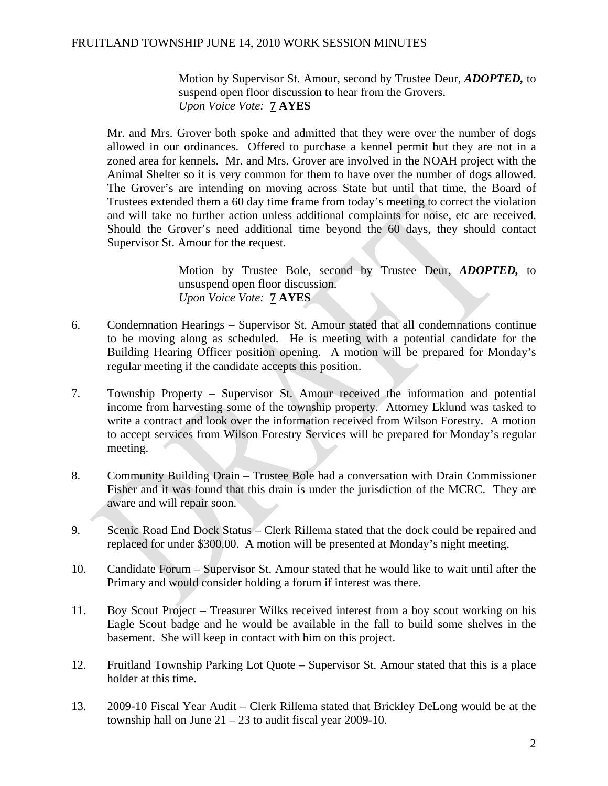## FRUITLAND TOWNSHIP JUNE 14, 2010 WORK SESSION MINUTES

Motion by Supervisor St. Amour, second by Trustee Deur, *ADOPTED,* to suspend open floor discussion to hear from the Grovers. *Upon Voice Vote:* **7 AYES** 

 Mr. and Mrs. Grover both spoke and admitted that they were over the number of dogs allowed in our ordinances. Offered to purchase a kennel permit but they are not in a zoned area for kennels. Mr. and Mrs. Grover are involved in the NOAH project with the Animal Shelter so it is very common for them to have over the number of dogs allowed. The Grover's are intending on moving across State but until that time, the Board of Trustees extended them a 60 day time frame from today's meeting to correct the violation and will take no further action unless additional complaints for noise, etc are received. Should the Grover's need additional time beyond the 60 days, they should contact Supervisor St. Amour for the request.

> Motion by Trustee Bole, second by Trustee Deur, *ADOPTED,* to unsuspend open floor discussion. *Upon Voice Vote:* **7 AYES**

- 6. Condemnation Hearings Supervisor St. Amour stated that all condemnations continue to be moving along as scheduled. He is meeting with a potential candidate for the Building Hearing Officer position opening. A motion will be prepared for Monday's regular meeting if the candidate accepts this position.
- 7. Township Property Supervisor St. Amour received the information and potential income from harvesting some of the township property. Attorney Eklund was tasked to write a contract and look over the information received from Wilson Forestry. A motion to accept services from Wilson Forestry Services will be prepared for Monday's regular meeting.
- 8. Community Building Drain Trustee Bole had a conversation with Drain Commissioner Fisher and it was found that this drain is under the jurisdiction of the MCRC. They are aware and will repair soon.
- 9. Scenic Road End Dock Status Clerk Rillema stated that the dock could be repaired and replaced for under \$300.00. A motion will be presented at Monday's night meeting.
- 10. Candidate Forum Supervisor St. Amour stated that he would like to wait until after the Primary and would consider holding a forum if interest was there.
- 11. Boy Scout Project Treasurer Wilks received interest from a boy scout working on his Eagle Scout badge and he would be available in the fall to build some shelves in the basement. She will keep in contact with him on this project.
- 12. Fruitland Township Parking Lot Quote Supervisor St. Amour stated that this is a place holder at this time.
- 13. 2009-10 Fiscal Year Audit Clerk Rillema stated that Brickley DeLong would be at the township hall on June  $21 - 23$  to audit fiscal year 2009-10.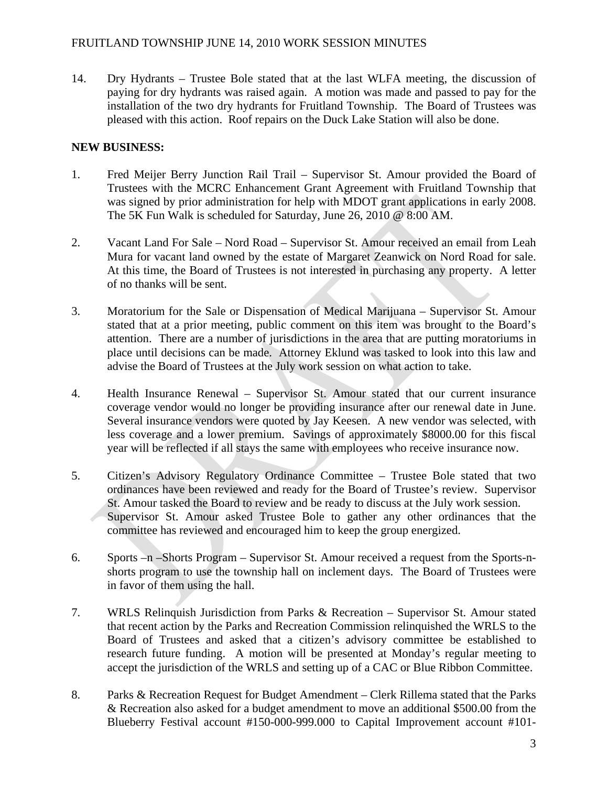# FRUITLAND TOWNSHIP JUNE 14, 2010 WORK SESSION MINUTES

14. Dry Hydrants – Trustee Bole stated that at the last WLFA meeting, the discussion of paying for dry hydrants was raised again. A motion was made and passed to pay for the installation of the two dry hydrants for Fruitland Township. The Board of Trustees was pleased with this action. Roof repairs on the Duck Lake Station will also be done.

# **NEW BUSINESS:**

- 1. Fred Meijer Berry Junction Rail Trail Supervisor St. Amour provided the Board of Trustees with the MCRC Enhancement Grant Agreement with Fruitland Township that was signed by prior administration for help with MDOT grant applications in early 2008. The 5K Fun Walk is scheduled for Saturday, June 26, 2010 @ 8:00 AM.
- 2. Vacant Land For Sale Nord Road Supervisor St. Amour received an email from Leah Mura for vacant land owned by the estate of Margaret Zeanwick on Nord Road for sale. At this time, the Board of Trustees is not interested in purchasing any property. A letter of no thanks will be sent.
- 3. Moratorium for the Sale or Dispensation of Medical Marijuana Supervisor St. Amour stated that at a prior meeting, public comment on this item was brought to the Board's attention. There are a number of jurisdictions in the area that are putting moratoriums in place until decisions can be made. Attorney Eklund was tasked to look into this law and advise the Board of Trustees at the July work session on what action to take.
- 4. Health Insurance Renewal Supervisor St. Amour stated that our current insurance coverage vendor would no longer be providing insurance after our renewal date in June. Several insurance vendors were quoted by Jay Keesen. A new vendor was selected, with less coverage and a lower premium. Savings of approximately \$8000.00 for this fiscal year will be reflected if all stays the same with employees who receive insurance now.
- 5. Citizen's Advisory Regulatory Ordinance Committee Trustee Bole stated that two ordinances have been reviewed and ready for the Board of Trustee's review. Supervisor St. Amour tasked the Board to review and be ready to discuss at the July work session. Supervisor St. Amour asked Trustee Bole to gather any other ordinances that the committee has reviewed and encouraged him to keep the group energized.
- 6. Sports –n –Shorts Program Supervisor St. Amour received a request from the Sports-nshorts program to use the township hall on inclement days. The Board of Trustees were in favor of them using the hall.
- 7. WRLS Relinquish Jurisdiction from Parks & Recreation Supervisor St. Amour stated that recent action by the Parks and Recreation Commission relinquished the WRLS to the Board of Trustees and asked that a citizen's advisory committee be established to research future funding. A motion will be presented at Monday's regular meeting to accept the jurisdiction of the WRLS and setting up of a CAC or Blue Ribbon Committee.
- 8. Parks & Recreation Request for Budget Amendment Clerk Rillema stated that the Parks & Recreation also asked for a budget amendment to move an additional \$500.00 from the Blueberry Festival account #150-000-999.000 to Capital Improvement account #101-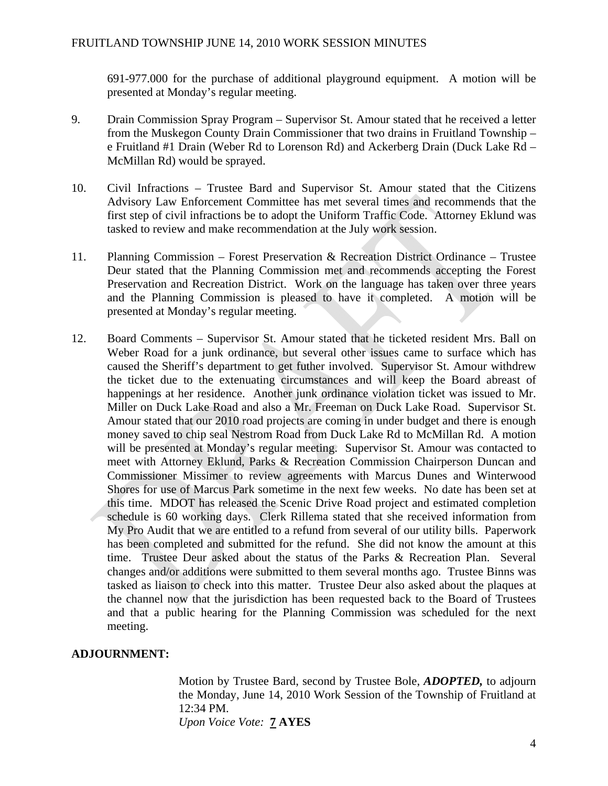691-977.000 for the purchase of additional playground equipment. A motion will be presented at Monday's regular meeting.

- 9. Drain Commission Spray Program Supervisor St. Amour stated that he received a letter from the Muskegon County Drain Commissioner that two drains in Fruitland Township – e Fruitland #1 Drain (Weber Rd to Lorenson Rd) and Ackerberg Drain (Duck Lake Rd – McMillan Rd) would be sprayed.
- 10. Civil Infractions Trustee Bard and Supervisor St. Amour stated that the Citizens Advisory Law Enforcement Committee has met several times and recommends that the first step of civil infractions be to adopt the Uniform Traffic Code. Attorney Eklund was tasked to review and make recommendation at the July work session.
- 11. Planning Commission Forest Preservation & Recreation District Ordinance Trustee Deur stated that the Planning Commission met and recommends accepting the Forest Preservation and Recreation District. Work on the language has taken over three years and the Planning Commission is pleased to have it completed. A motion will be presented at Monday's regular meeting.
- 12. Board Comments Supervisor St. Amour stated that he ticketed resident Mrs. Ball on Weber Road for a junk ordinance, but several other issues came to surface which has caused the Sheriff's department to get futher involved. Supervisor St. Amour withdrew the ticket due to the extenuating circumstances and will keep the Board abreast of happenings at her residence. Another junk ordinance violation ticket was issued to Mr. Miller on Duck Lake Road and also a Mr. Freeman on Duck Lake Road. Supervisor St. Amour stated that our 2010 road projects are coming in under budget and there is enough money saved to chip seal Nestrom Road from Duck Lake Rd to McMillan Rd. A motion will be presented at Monday's regular meeting. Supervisor St. Amour was contacted to meet with Attorney Eklund, Parks & Recreation Commission Chairperson Duncan and Commissioner Missimer to review agreements with Marcus Dunes and Winterwood Shores for use of Marcus Park sometime in the next few weeks. No date has been set at this time. MDOT has released the Scenic Drive Road project and estimated completion schedule is 60 working days. Clerk Rillema stated that she received information from My Pro Audit that we are entitled to a refund from several of our utility bills. Paperwork has been completed and submitted for the refund. She did not know the amount at this time. Trustee Deur asked about the status of the Parks & Recreation Plan. Several changes and/or additions were submitted to them several months ago. Trustee Binns was tasked as liaison to check into this matter. Trustee Deur also asked about the plaques at the channel now that the jurisdiction has been requested back to the Board of Trustees and that a public hearing for the Planning Commission was scheduled for the next meeting.

## **ADJOURNMENT:**

Motion by Trustee Bard, second by Trustee Bole, *ADOPTED,* to adjourn the Monday, June 14, 2010 Work Session of the Township of Fruitland at 12:34 PM. *Upon Voice Vote:* **7 AYES**